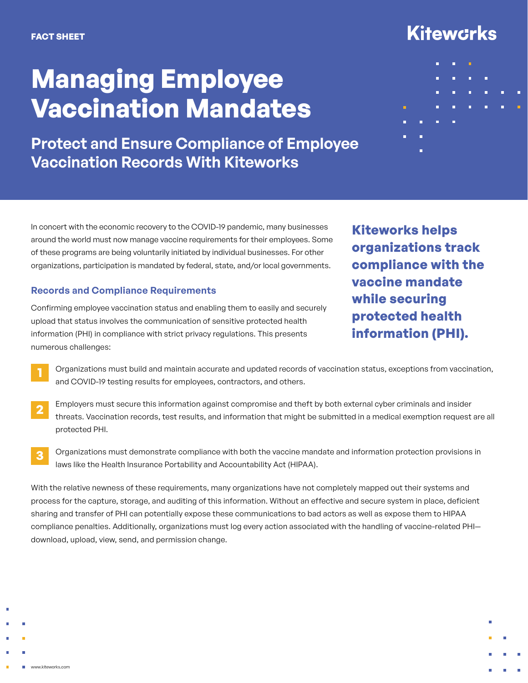## **Managing Employee Vaccination Mandates**

**Protect and Ensure Compliance of Employee Vaccination Records With Kiteworks**

In concert with the economic recovery to the COVID-19 pandemic, many businesses around the world must now manage vaccine requirements for their employees. Some of these programs are being voluntarily initiated by individual businesses. For other organizations, participation is mandated by federal, state, and/or local governments.

### **Records and Compliance Requirements**

Confirming employee vaccination status and enabling them to easily and securely upload that status involves the communication of sensitive protected health information (PHI) in compliance with strict privacy regulations. This presents numerous challenges:

**Kiteworks helps organizations track compliance with the vaccine mandate while securing protected health information (PHI).**

- Organizations must build and maintain accurate and updated records of vaccination status, exceptions from vaccination, and COVID-19 testing results for employees, contractors, and others. **1**
- Employers must secure this information against compromise and theft by both external cyber criminals and insider threats. Vaccination records, test results, and information that might be submitted in a medical exemption request are all protected PHI. **2**
- Organizations must demonstrate compliance with both the vaccine mandate and information protection provisions in laws like the Health Insurance Portability and Accountability Act (HIPAA). **3**

With the relative newness of these requirements, many organizations have not completely mapped out their systems and process for the capture, storage, and auditing of this information. Without an effective and secure system in place, deficient sharing and transfer of PHI can potentially expose these communications to bad actors as well as expose them to HIPAA compliance penalties. Additionally, organizations must log every action associated with the handling of vaccine-related PHI download, upload, view, send, and permission change.

# **Kitewcrks** ō × ö